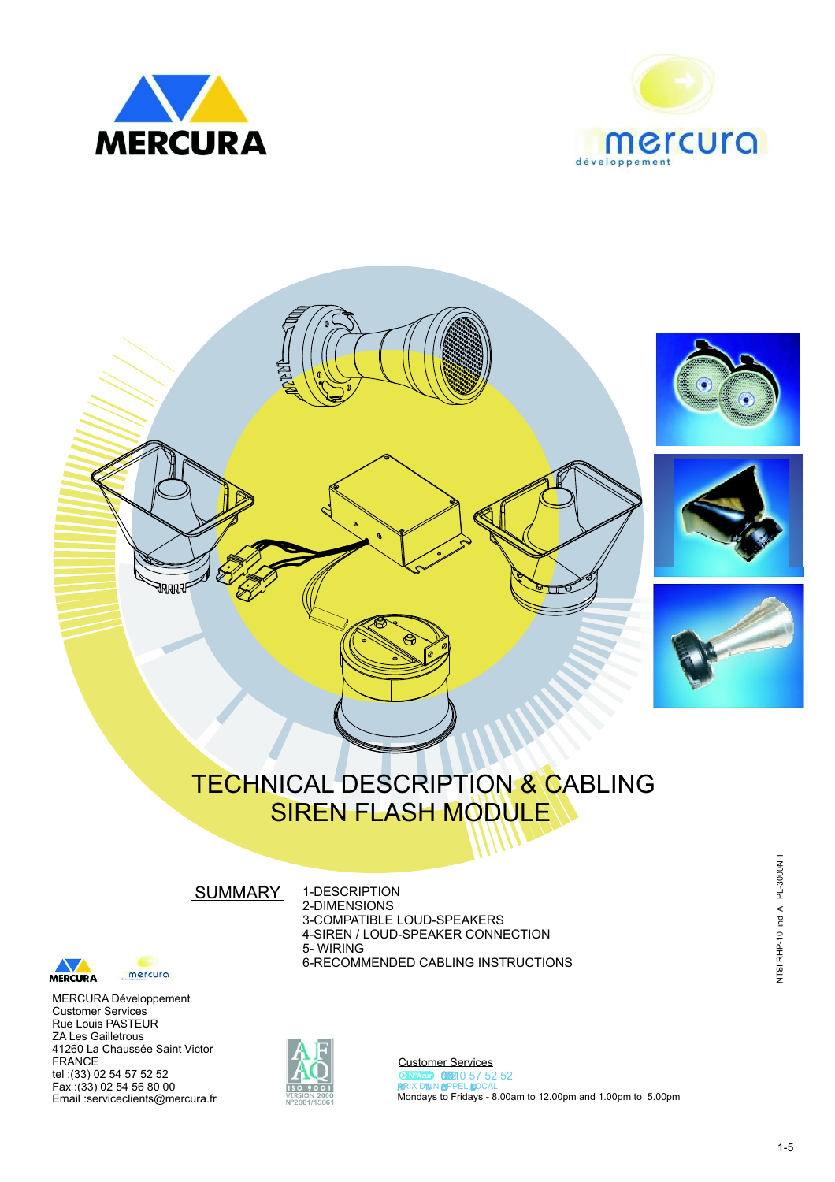





# TECHNICAL DESCRIPTION & CABLING SIREN FLASH MODULE

**SUMMARY** 

 $\bm{\nabla}$ MERCURA

mercura

MERCURA Développement Customer Services Rue Louis PASTEUR ZA Les Gailletrous 41260 La Chaussée Saint Victor FRANCE tel :(33) 02 54 57 52 52 Fax :(33) 02 54 56 80 00 Email :serviceclients@mercura.fr





Customer Services Mondays to Fridays - 8.00am to 12.00pm and 1.00pm to 5.00pm **ON Azup (1881)** 0 57 52 52<br>**RRIX DIN APPEL LOCAL**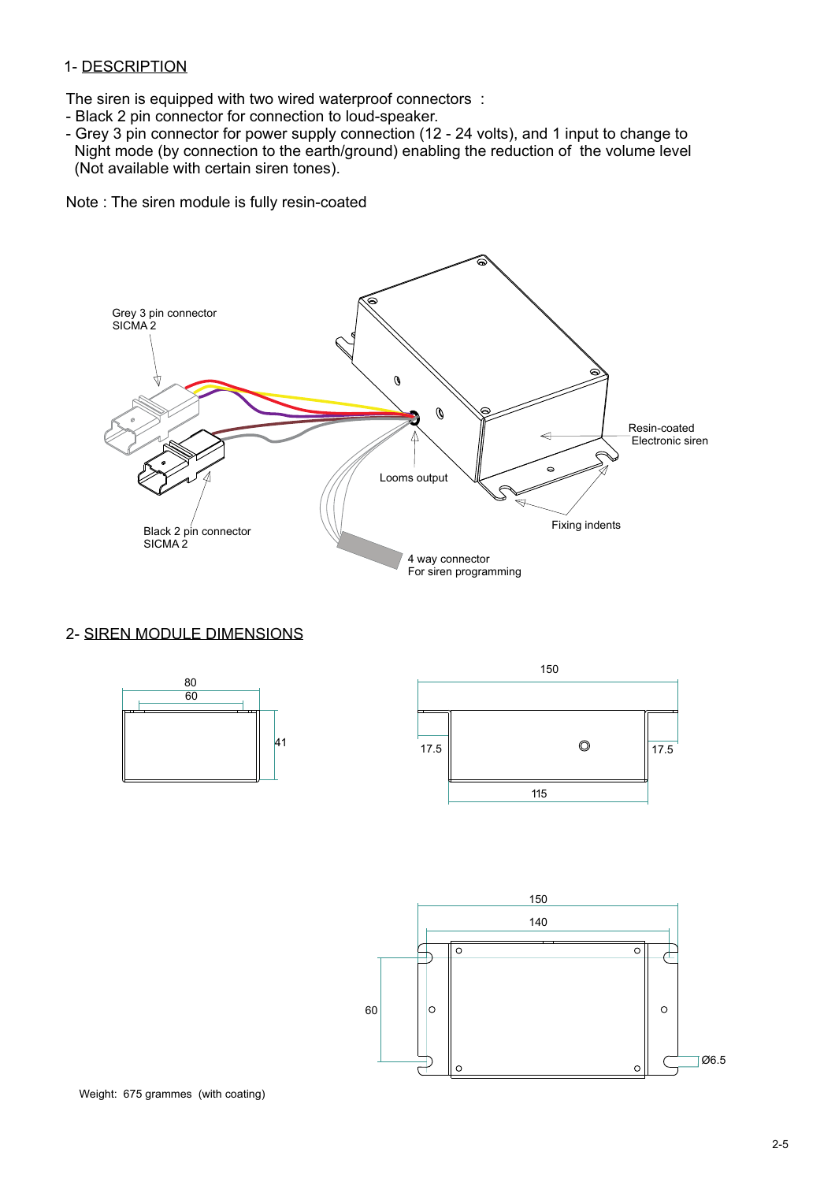#### 1- DESCRIPTION

The siren is equipped with two wired waterproof connectors :

- Black 2 pin connector for connection to loud-speaker.
- Grey 3 pin connector for power supply connection (12 24 volts), and 1 input to change to Night mode (by connection to the earth/ground) enabling the reduction of the volume level (Not available with certain siren tones).

Note : The siren module is fully resin-coated



#### 2- SIREN MODULE DIMENSIONS



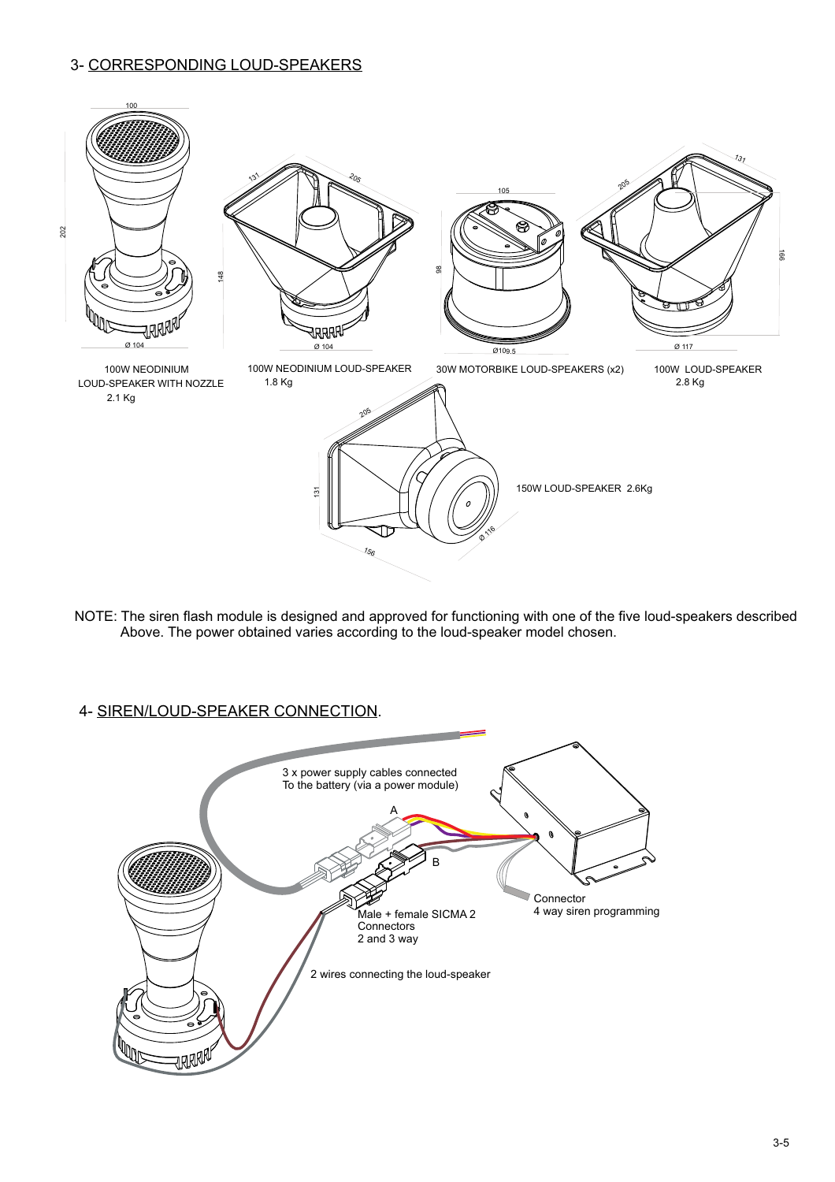## 3- CORRESPONDING LOUD-SPEAKERS



NOTE: The siren flash module is designed and approved for functioning with one of the five loud-speakers described Above. The power obtained varies according to the loud-speaker model chosen.

## 4- SIREN/LOUD-SPEAKER CONNECTION.

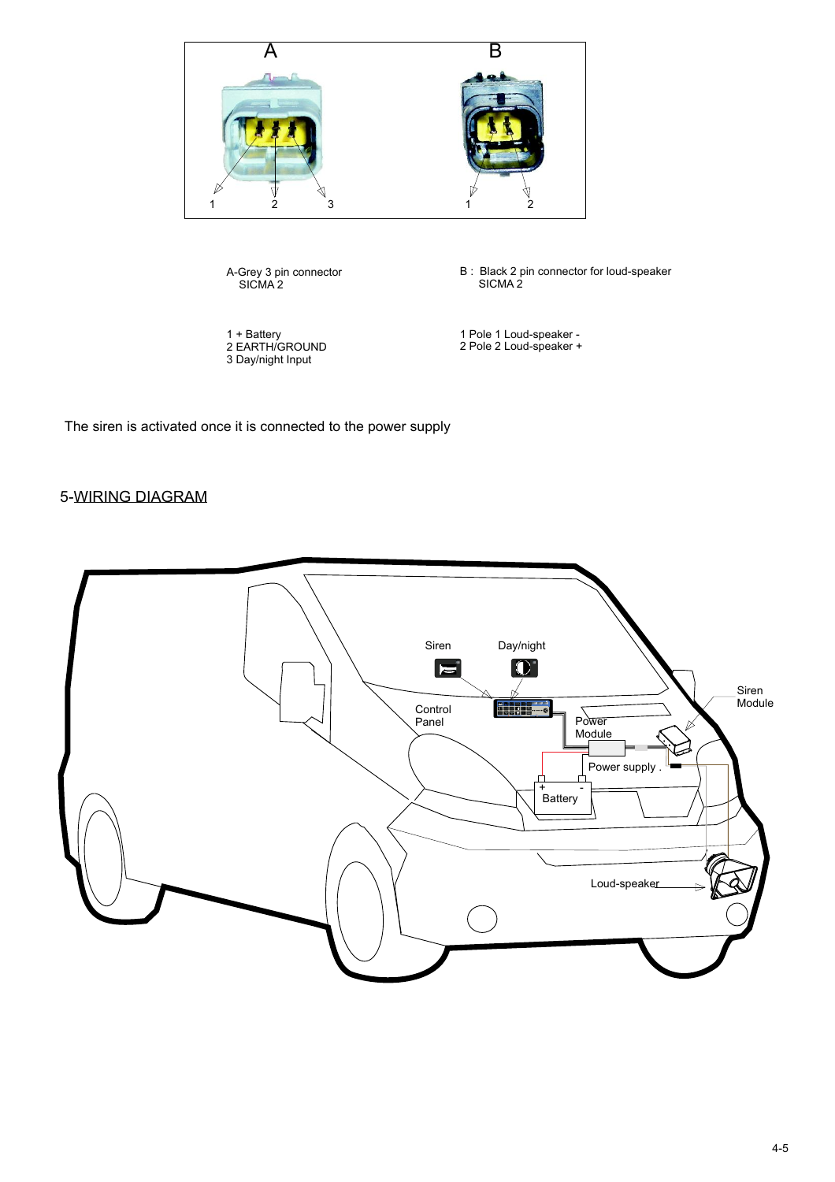

The siren is activated once it is connected to the power supply

## 5-WIRING DIAGRAM